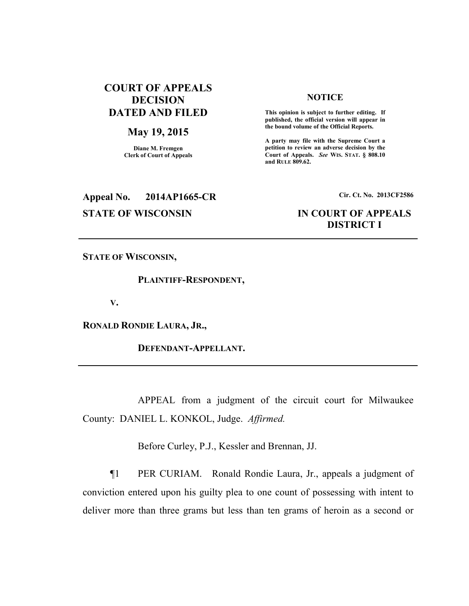## **COURT OF APPEALS DECISION DATED AND FILED**

## **May 19, 2015**

**Diane M. Fremgen Clerk of Court of Appeals** 

## **NOTICE**

 **This opinion is subject to further editing. If published, the official version will appear in the bound volume of the Official Reports.** 

**A party may file with the Supreme Court a petition to review an adverse decision by the Court of Appeals.** *See* **WIS. STAT. § 808.10 and RULE 809.62.** 

# **Appeal No. 2014AP1665-CR Cir. Ct. No. 2013CF2586**

## **STATE OF WISCONSIN IN COURT OF APPEALS DISTRICT I**

**STATE OF WISCONSIN,** 

 **PLAINTIFF-RESPONDENT,** 

**V.** 

**RONALD RONDIE LAURA, JR.,** 

 **DEFENDANT-APPELLANT.** 

 APPEAL from a judgment of the circuit court for Milwaukee County: DANIEL L. KONKOL, Judge. *Affirmed.*

Before Curley, P.J., Kessler and Brennan, JJ.

¶1 PER CURIAM. Ronald Rondie Laura, Jr., appeals a judgment of conviction entered upon his guilty plea to one count of possessing with intent to deliver more than three grams but less than ten grams of heroin as a second or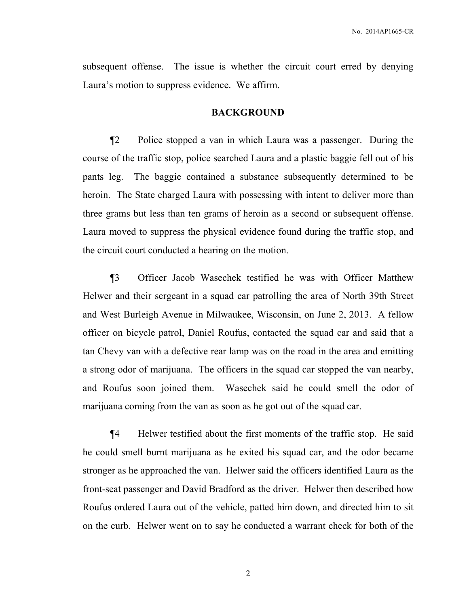subsequent offense. The issue is whether the circuit court erred by denying Laura's motion to suppress evidence. We affirm.

## **BACKGROUND**

¶2 Police stopped a van in which Laura was a passenger. During the course of the traffic stop, police searched Laura and a plastic baggie fell out of his pants leg. The baggie contained a substance subsequently determined to be heroin. The State charged Laura with possessing with intent to deliver more than three grams but less than ten grams of heroin as a second or subsequent offense. Laura moved to suppress the physical evidence found during the traffic stop, and the circuit court conducted a hearing on the motion.

¶3 Officer Jacob Wasechek testified he was with Officer Matthew Helwer and their sergeant in a squad car patrolling the area of North 39th Street and West Burleigh Avenue in Milwaukee, Wisconsin, on June 2, 2013. A fellow officer on bicycle patrol, Daniel Roufus, contacted the squad car and said that a tan Chevy van with a defective rear lamp was on the road in the area and emitting a strong odor of marijuana. The officers in the squad car stopped the van nearby, and Roufus soon joined them. Wasechek said he could smell the odor of marijuana coming from the van as soon as he got out of the squad car.

¶4 Helwer testified about the first moments of the traffic stop. He said he could smell burnt marijuana as he exited his squad car, and the odor became stronger as he approached the van. Helwer said the officers identified Laura as the front-seat passenger and David Bradford as the driver. Helwer then described how Roufus ordered Laura out of the vehicle, patted him down, and directed him to sit on the curb. Helwer went on to say he conducted a warrant check for both of the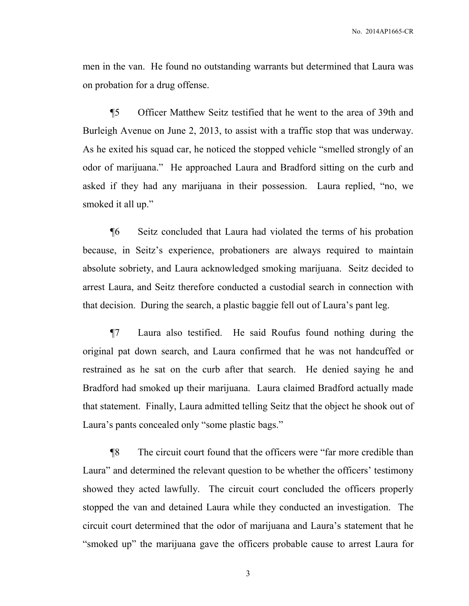men in the van. He found no outstanding warrants but determined that Laura was on probation for a drug offense.

¶5 Officer Matthew Seitz testified that he went to the area of 39th and Burleigh Avenue on June 2, 2013, to assist with a traffic stop that was underway. As he exited his squad car, he noticed the stopped vehicle "smelled strongly of an odor of marijuana." He approached Laura and Bradford sitting on the curb and asked if they had any marijuana in their possession. Laura replied, "no, we smoked it all up."

¶6 Seitz concluded that Laura had violated the terms of his probation because, in Seitz's experience, probationers are always required to maintain absolute sobriety, and Laura acknowledged smoking marijuana. Seitz decided to arrest Laura, and Seitz therefore conducted a custodial search in connection with that decision. During the search, a plastic baggie fell out of Laura's pant leg.

¶7 Laura also testified. He said Roufus found nothing during the original pat down search, and Laura confirmed that he was not handcuffed or restrained as he sat on the curb after that search. He denied saying he and Bradford had smoked up their marijuana. Laura claimed Bradford actually made that statement. Finally, Laura admitted telling Seitz that the object he shook out of Laura's pants concealed only "some plastic bags."

¶8 The circuit court found that the officers were "far more credible than Laura" and determined the relevant question to be whether the officers' testimony showed they acted lawfully. The circuit court concluded the officers properly stopped the van and detained Laura while they conducted an investigation. The circuit court determined that the odor of marijuana and Laura's statement that he "smoked up" the marijuana gave the officers probable cause to arrest Laura for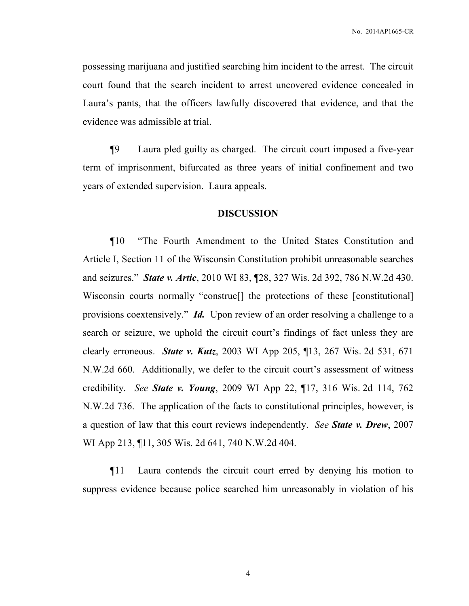possessing marijuana and justified searching him incident to the arrest. The circuit court found that the search incident to arrest uncovered evidence concealed in Laura's pants, that the officers lawfully discovered that evidence, and that the evidence was admissible at trial.

¶9 Laura pled guilty as charged. The circuit court imposed a five-year term of imprisonment, bifurcated as three years of initial confinement and two years of extended supervision. Laura appeals.

### **DISCUSSION**

¶10 "The Fourth Amendment to the United States Constitution and Article I, Section 11 of the Wisconsin Constitution prohibit unreasonable searches and seizures." *State v. Artic*, 2010 WI 83, ¶28, 327 Wis. 2d 392, 786 N.W.2d 430. Wisconsin courts normally "construe<sup>[]</sup> the protections of these [constitutional] provisions coextensively." *Id.* Upon review of an order resolving a challenge to a search or seizure, we uphold the circuit court's findings of fact unless they are clearly erroneous. *State v. Kutz*, 2003 WI App 205, ¶13, 267 Wis. 2d 531, 671 N.W.2d 660. Additionally, we defer to the circuit court's assessment of witness credibility. *See State v. Young*, 2009 WI App 22, ¶17, 316 Wis. 2d 114, 762 N.W.2d 736. The application of the facts to constitutional principles, however, is a question of law that this court reviews independently. *See State v. Drew*, 2007 WI App 213, ¶11, 305 Wis. 2d 641, 740 N.W.2d 404.

¶11 Laura contends the circuit court erred by denying his motion to suppress evidence because police searched him unreasonably in violation of his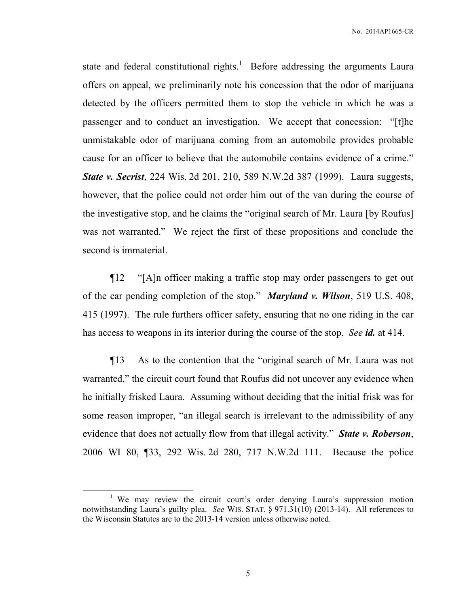No. 2014AP1665-CR

state and federal constitutional rights.<sup>1</sup> Before addressing the arguments Laura offers on appeal, we preliminarily note his concession that the odor of marijuana detected by the officers permitted them to stop the vehicle in which he was a passenger and to conduct an investigation. We accept that concession: "[t]he unmistakable odor of marijuana coming from an automobile provides probable cause for an officer to believe that the automobile contains evidence of a crime." *State v. Secrist*, 224 Wis. 2d 201, 210, 589 N.W.2d 387 (1999). Laura suggests, however, that the police could not order him out of the van during the course of the investigative stop, and he claims the "original search of Mr. Laura [by Roufus] was not warranted." We reject the first of these propositions and conclude the second is immaterial.

¶12 "[A]n officer making a traffic stop may order passengers to get out of the car pending completion of the stop." *Maryland v. Wilson*, 519 U.S. 408, 415 (1997). The rule furthers officer safety, ensuring that no one riding in the car has access to weapons in its interior during the course of the stop. *See id.* at 414.

¶13 As to the contention that the "original search of Mr. Laura was not warranted," the circuit court found that Roufus did not uncover any evidence when he initially frisked Laura. Assuming without deciding that the initial frisk was for some reason improper, "an illegal search is irrelevant to the admissibility of any evidence that does not actually flow from that illegal activity." *State v. Roberson*, 2006 WI 80, ¶33, 292 Wis. 2d 280, 717 N.W.2d 111. Because the police

 $\overline{a}$ 

<sup>&</sup>lt;sup>1</sup> We may review the circuit court's order denying Laura's suppression motion notwithstanding Laura's guilty plea. *See* WIS. STAT. § 971.31(10) (2013-14). All references to the Wisconsin Statutes are to the 2013-14 version unless otherwise noted.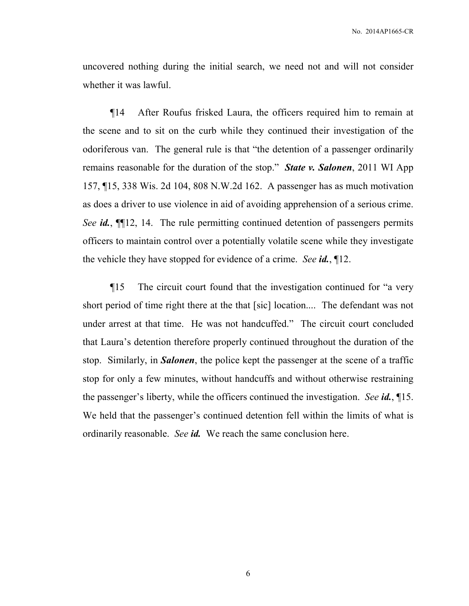uncovered nothing during the initial search, we need not and will not consider whether it was lawful.

¶14 After Roufus frisked Laura, the officers required him to remain at the scene and to sit on the curb while they continued their investigation of the odoriferous van. The general rule is that "the detention of a passenger ordinarily remains reasonable for the duration of the stop." *State v. Salonen*, 2011 WI App 157, ¶15, 338 Wis. 2d 104, 808 N.W.2d 162. A passenger has as much motivation as does a driver to use violence in aid of avoiding apprehension of a serious crime. *See id.*, ¶¶12, 14. The rule permitting continued detention of passengers permits officers to maintain control over a potentially volatile scene while they investigate the vehicle they have stopped for evidence of a crime. *See id.*, ¶12.

¶15 The circuit court found that the investigation continued for "a very short period of time right there at the that [sic] location.... The defendant was not under arrest at that time. He was not handcuffed." The circuit court concluded that Laura's detention therefore properly continued throughout the duration of the stop. Similarly, in *Salonen*, the police kept the passenger at the scene of a traffic stop for only a few minutes, without handcuffs and without otherwise restraining the passenger's liberty, while the officers continued the investigation. *See id.*, ¶15. We held that the passenger's continued detention fell within the limits of what is ordinarily reasonable. *See id.* We reach the same conclusion here.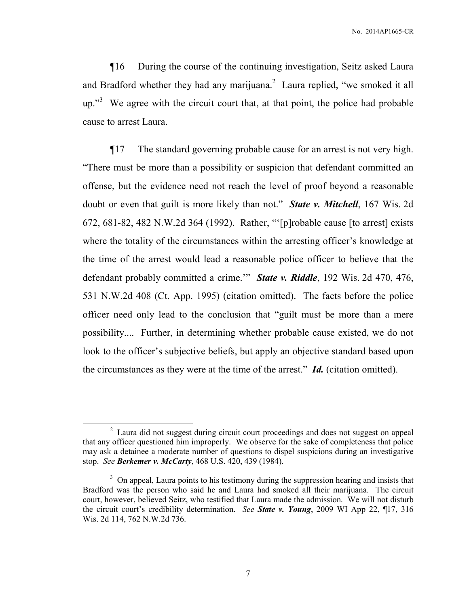¶16 During the course of the continuing investigation, Seitz asked Laura and Bradford whether they had any marijuana. $2$  Laura replied, "we smoked it all  $up.^{3}$  We agree with the circuit court that, at that point, the police had probable cause to arrest Laura.

¶17 The standard governing probable cause for an arrest is not very high. "There must be more than a possibility or suspicion that defendant committed an offense, but the evidence need not reach the level of proof beyond a reasonable doubt or even that guilt is more likely than not." *State v. Mitchell*, 167 Wis. 2d 672, 681-82, 482 N.W.2d 364 (1992). Rather, "'[p]robable cause [to arrest] exists where the totality of the circumstances within the arresting officer's knowledge at the time of the arrest would lead a reasonable police officer to believe that the defendant probably committed a crime.'" *State v. Riddle*, 192 Wis. 2d 470, 476, 531 N.W.2d 408 (Ct. App. 1995) (citation omitted). The facts before the police officer need only lead to the conclusion that "guilt must be more than a mere possibility.... Further, in determining whether probable cause existed, we do not look to the officer's subjective beliefs, but apply an objective standard based upon the circumstances as they were at the time of the arrest." *Id.* (citation omitted).

 $\overline{a}$ 

<sup>&</sup>lt;sup>2</sup> Laura did not suggest during circuit court proceedings and does not suggest on appeal that any officer questioned him improperly. We observe for the sake of completeness that police may ask a detainee a moderate number of questions to dispel suspicions during an investigative stop. *See Berkemer v. McCarty*, 468 U.S. 420, 439 (1984).

<sup>&</sup>lt;sup>3</sup> On appeal, Laura points to his testimony during the suppression hearing and insists that Bradford was the person who said he and Laura had smoked all their marijuana. The circuit court, however, believed Seitz, who testified that Laura made the admission. We will not disturb the circuit court's credibility determination. *See State v. Young*, 2009 WI App 22, ¶17, 316 Wis. 2d 114, 762 N.W.2d 736.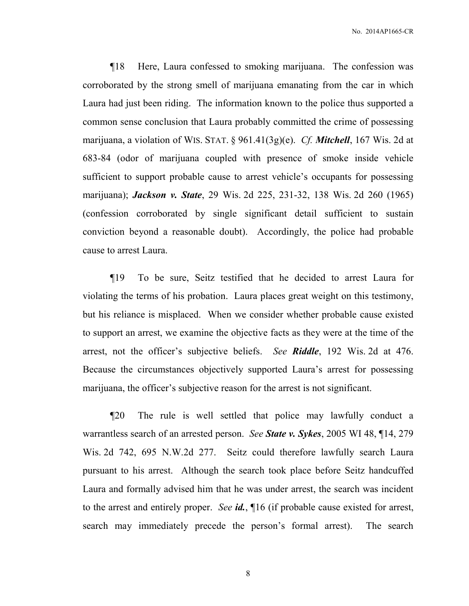No. 2014AP1665-CR

¶18 Here, Laura confessed to smoking marijuana. The confession was corroborated by the strong smell of marijuana emanating from the car in which Laura had just been riding. The information known to the police thus supported a common sense conclusion that Laura probably committed the crime of possessing marijuana, a violation of WIS. STAT. § 961.41(3g)(e). *Cf. Mitchell*, 167 Wis. 2d at 683-84 (odor of marijuana coupled with presence of smoke inside vehicle sufficient to support probable cause to arrest vehicle's occupants for possessing marijuana); *Jackson v. State*, 29 Wis. 2d 225, 231-32, 138 Wis. 2d 260 (1965) (confession corroborated by single significant detail sufficient to sustain conviction beyond a reasonable doubt). Accordingly, the police had probable cause to arrest Laura.

¶19 To be sure, Seitz testified that he decided to arrest Laura for violating the terms of his probation. Laura places great weight on this testimony, but his reliance is misplaced. When we consider whether probable cause existed to support an arrest, we examine the objective facts as they were at the time of the arrest, not the officer's subjective beliefs. *See Riddle*, 192 Wis. 2d at 476. Because the circumstances objectively supported Laura's arrest for possessing marijuana, the officer's subjective reason for the arrest is not significant.

¶20 The rule is well settled that police may lawfully conduct a warrantless search of an arrested person. *See State v. Sykes*, 2005 WI 48, ¶14, 279 Wis. 2d 742, 695 N.W.2d 277. Seitz could therefore lawfully search Laura pursuant to his arrest. Although the search took place before Seitz handcuffed Laura and formally advised him that he was under arrest, the search was incident to the arrest and entirely proper. *See id.*, ¶16 (if probable cause existed for arrest, search may immediately precede the person's formal arrest). The search